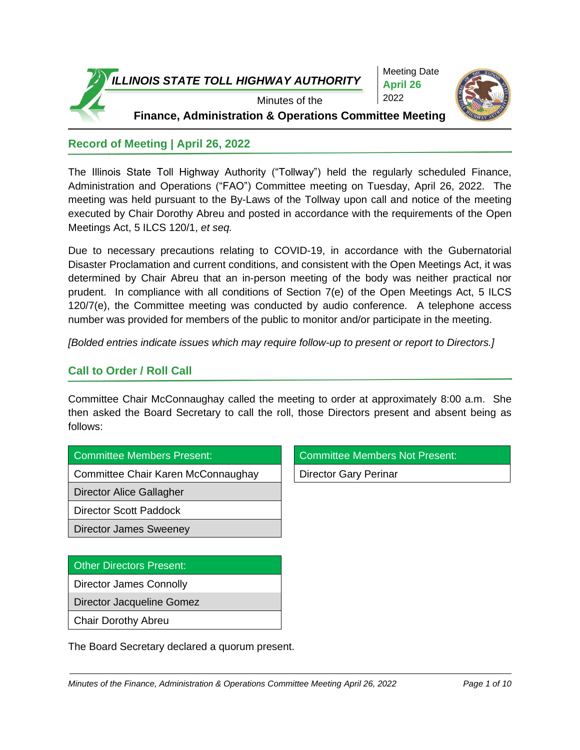

### **Record of Meeting | April 26, 2022**

The Illinois State Toll Highway Authority ("Tollway") held the regularly scheduled Finance, Administration and Operations ("FAO") Committee meeting on Tuesday, April 26, 2022. The meeting was held pursuant to the By-Laws of the Tollway upon call and notice of the meeting executed by Chair Dorothy Abreu and posted in accordance with the requirements of the Open Meetings Act, 5 ILCS 120/1, *et seq.*

Due to necessary precautions relating to COVID-19, in accordance with the Gubernatorial Disaster Proclamation and current conditions, and consistent with the Open Meetings Act, it was determined by Chair Abreu that an in-person meeting of the body was neither practical nor prudent. In compliance with all conditions of Section 7(e) of the Open Meetings Act, 5 ILCS 120/7(e), the Committee meeting was conducted by audio conference. A telephone access number was provided for members of the public to monitor and/or participate in the meeting.

*[Bolded entries indicate issues which may require follow-up to present or report to Directors.]*

# **Call to Order / Roll Call**

Committee Chair McConnaughay called the meeting to order at approximately 8:00 a.m. She then asked the Board Secretary to call the roll, those Directors present and absent being as follows:

| <b>Committee Members Present:</b> |  |
|-----------------------------------|--|
|                                   |  |

Committee Chair Karen McConnaughay | Director Gary Perinar

Director Alice Gallagher

Director Scott Paddock

Director James Sweeney

# Other Directors Present: Director James Connolly Director Jacqueline Gomez

Chair Dorothy Abreu

The Board Secretary declared a quorum present.

Committee Members Not Present: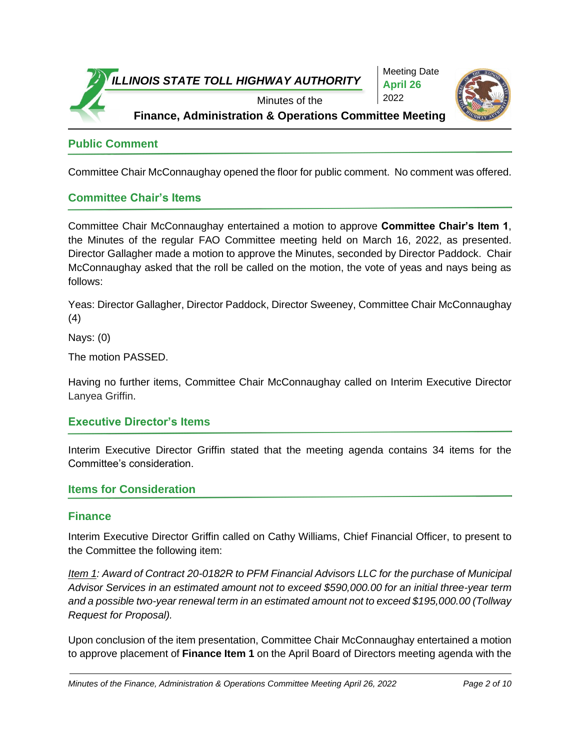

**Public Comment**

Committee Chair McConnaughay opened the floor for public comment. No comment was offered.

#### **Committee Chair's Items**

Committee Chair McConnaughay entertained a motion to approve **Committee Chair's Item 1**, the Minutes of the regular FAO Committee meeting held on March 16, 2022, as presented. Director Gallagher made a motion to approve the Minutes, seconded by Director Paddock. Chair McConnaughay asked that the roll be called on the motion, the vote of yeas and nays being as follows:

Yeas: Director Gallagher, Director Paddock, Director Sweeney, Committee Chair McConnaughay (4)

Nays: (0)

The motion PASSED.

Having no further items, Committee Chair McConnaughay called on Interim Executive Director Lanyea Griffin.

#### **Executive Director's Items**

Interim Executive Director Griffin stated that the meeting agenda contains 34 items for the Committee's consideration.

#### **Items for Consideration**

#### **Finance**

Interim Executive Director Griffin called on Cathy Williams, Chief Financial Officer, to present to the Committee the following item:

*Item 1: Award of Contract 20-0182R to PFM Financial Advisors LLC for the purchase of Municipal Advisor Services in an estimated amount not to exceed \$590,000.00 for an initial three-year term and a possible two-year renewal term in an estimated amount not to exceed \$195,000.00 (Tollway Request for Proposal).*

Upon conclusion of the item presentation, Committee Chair McConnaughay entertained a motion to approve placement of **Finance Item 1** on the April Board of Directors meeting agenda with the

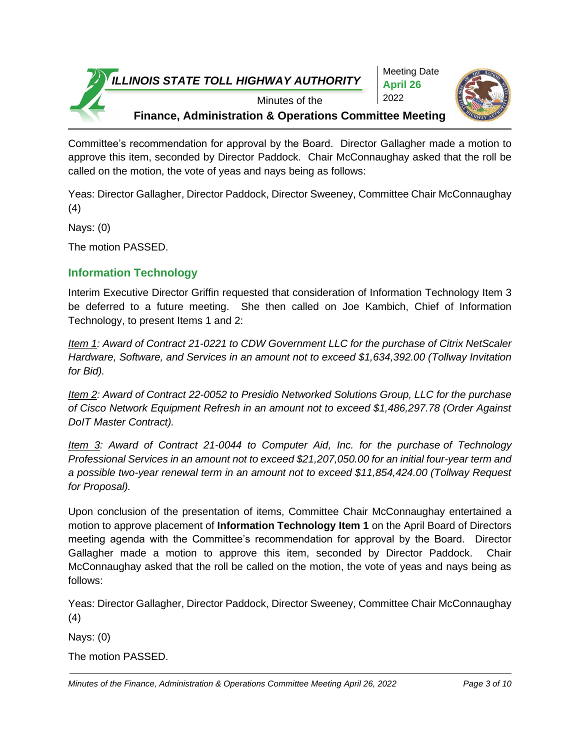

Meeting Date **April 26** 2022



Minutes of the

**Finance, Administration & Operations Committee Meeting**

Committee's recommendation for approval by the Board. Director Gallagher made a motion to approve this item, seconded by Director Paddock. Chair McConnaughay asked that the roll be called on the motion, the vote of yeas and nays being as follows:

Yeas: Director Gallagher, Director Paddock, Director Sweeney, Committee Chair McConnaughay (4)

Nays: (0)

The motion PASSED.

# **Information Technology**

Interim Executive Director Griffin requested that consideration of Information Technology Item 3 be deferred to a future meeting. She then called on Joe Kambich, Chief of Information Technology, to present Items 1 and 2:

*Item 1: Award of Contract 21-0221 to CDW Government LLC for the purchase of Citrix NetScaler Hardware, Software, and Services in an amount not to exceed \$1,634,392.00 (Tollway Invitation for Bid).*

*Item 2: Award of Contract 22-0052 to Presidio Networked Solutions Group, LLC for the purchase of Cisco Network Equipment Refresh in an amount not to exceed \$1,486,297.78 (Order Against DoIT Master Contract).*

*Item 3: Award of Contract 21-0044 to Computer Aid, Inc. for the purchase of Technology Professional Services in an amount not to exceed \$21,207,050.00 for an initial four-year term and a possible two-year renewal term in an amount not to exceed \$11,854,424.00 (Tollway Request for Proposal).*

Upon conclusion of the presentation of items, Committee Chair McConnaughay entertained a motion to approve placement of **Information Technology Item 1** on the April Board of Directors meeting agenda with the Committee's recommendation for approval by the Board. Director Gallagher made a motion to approve this item, seconded by Director Paddock. Chair McConnaughay asked that the roll be called on the motion, the vote of yeas and nays being as follows:

Yeas: Director Gallagher, Director Paddock, Director Sweeney, Committee Chair McConnaughay (4)

Nays: (0)

The motion PASSED.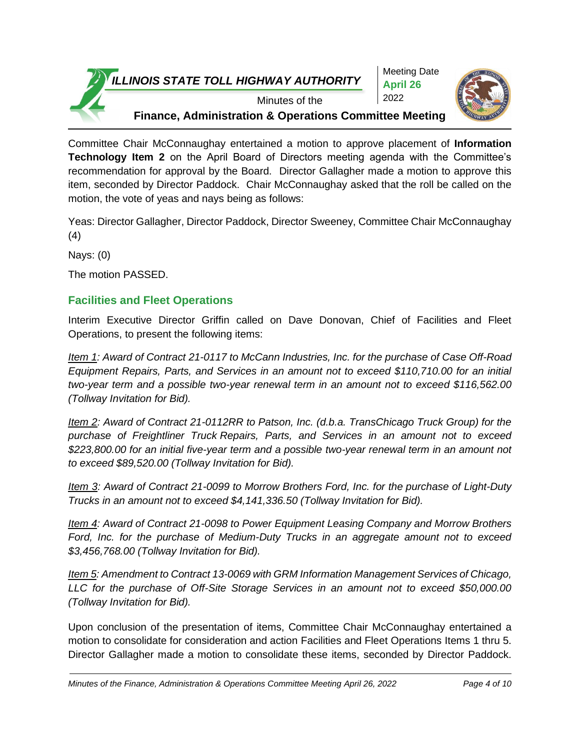

Meeting Date **April 26** 2022



Minutes of the

**Finance, Administration & Operations Committee Meeting**

Committee Chair McConnaughay entertained a motion to approve placement of **Information Technology Item 2** on the April Board of Directors meeting agenda with the Committee's recommendation for approval by the Board. Director Gallagher made a motion to approve this item, seconded by Director Paddock. Chair McConnaughay asked that the roll be called on the motion, the vote of yeas and nays being as follows:

Yeas: Director Gallagher, Director Paddock, Director Sweeney, Committee Chair McConnaughay (4)

Nays: (0)

The motion PASSED.

# **Facilities and Fleet Operations**

Interim Executive Director Griffin called on Dave Donovan, Chief of Facilities and Fleet Operations, to present the following items:

*Item 1: Award of Contract 21-0117 to McCann Industries, Inc. for the purchase of Case Off-Road Equipment Repairs, Parts, and Services in an amount not to exceed \$110,710.00 for an initial two-year term and a possible two-year renewal term in an amount not to exceed \$116,562.00 (Tollway Invitation for Bid).* 

*Item 2: Award of Contract 21-0112RR to Patson, Inc. (d.b.a. TransChicago Truck Group) for the purchase of Freightliner Truck Repairs, Parts, and Services in an amount not to exceed \$223,800.00 for an initial five-year term and a possible two-year renewal term in an amount not to exceed \$89,520.00 (Tollway Invitation for Bid).*

*Item 3: Award of Contract 21-0099 to Morrow Brothers Ford, Inc. for the purchase of Light-Duty Trucks in an amount not to exceed \$4,141,336.50 (Tollway Invitation for Bid).*

*Item 4: Award of Contract 21-0098 to Power Equipment Leasing Company and Morrow Brothers Ford, Inc. for the purchase of Medium-Duty Trucks in an aggregate amount not to exceed \$3,456,768.00 (Tollway Invitation for Bid).*

*Item 5: Amendment to Contract 13-0069 with GRM Information Management Services of Chicago, LLC for the purchase of Off-Site Storage Services in an amount not to exceed \$50,000.00 (Tollway Invitation for Bid).*

Upon conclusion of the presentation of items, Committee Chair McConnaughay entertained a motion to consolidate for consideration and action Facilities and Fleet Operations Items 1 thru 5. Director Gallagher made a motion to consolidate these items, seconded by Director Paddock.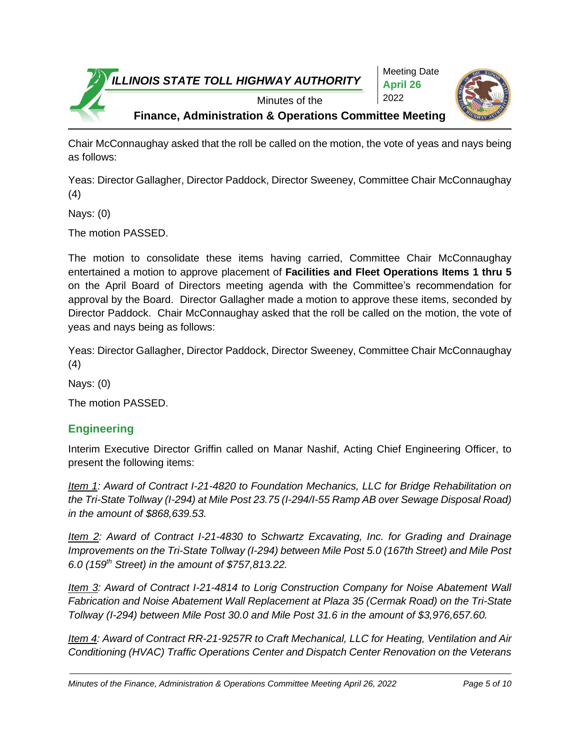

Chair McConnaughay asked that the roll be called on the motion, the vote of yeas and nays being as follows:

Yeas: Director Gallagher, Director Paddock, Director Sweeney, Committee Chair McConnaughay (4)

Nays: (0)

The motion PASSED.

The motion to consolidate these items having carried, Committee Chair McConnaughay entertained a motion to approve placement of **Facilities and Fleet Operations Items 1 thru 5**  on the April Board of Directors meeting agenda with the Committee's recommendation for approval by the Board. Director Gallagher made a motion to approve these items, seconded by Director Paddock. Chair McConnaughay asked that the roll be called on the motion, the vote of yeas and nays being as follows:

Yeas: Director Gallagher, Director Paddock, Director Sweeney, Committee Chair McConnaughay (4)

Nays: (0)

The motion PASSED.

# **Engineering**

Interim Executive Director Griffin called on Manar Nashif, Acting Chief Engineering Officer, to present the following items:

*Item 1: Award of Contract I-21-4820 to Foundation Mechanics, LLC for Bridge Rehabilitation on the Tri-State Tollway (I-294) at Mile Post 23.75 (I-294/I-55 Ramp AB over Sewage Disposal Road) in the amount of \$868,639.53.*

*Item 2: Award of Contract I-21-4830 to Schwartz Excavating, Inc. for Grading and Drainage Improvements on the Tri-State Tollway (I-294) between Mile Post 5.0 (167th Street) and Mile Post 6.0 (159th Street) in the amount of \$757,813.22.*

*Item 3: Award of Contract I-21-4814 to Lorig Construction Company for Noise Abatement Wall Fabrication and Noise Abatement Wall Replacement at Plaza 35 (Cermak Road) on the Tri-State Tollway (I-294) between Mile Post 30.0 and Mile Post 31.6 in the amount of \$3,976,657.60.*

*Item 4: Award of Contract RR-21-9257R to Craft Mechanical, LLC for Heating, Ventilation and Air Conditioning (HVAC) Traffic Operations Center and Dispatch Center Renovation on the Veterans*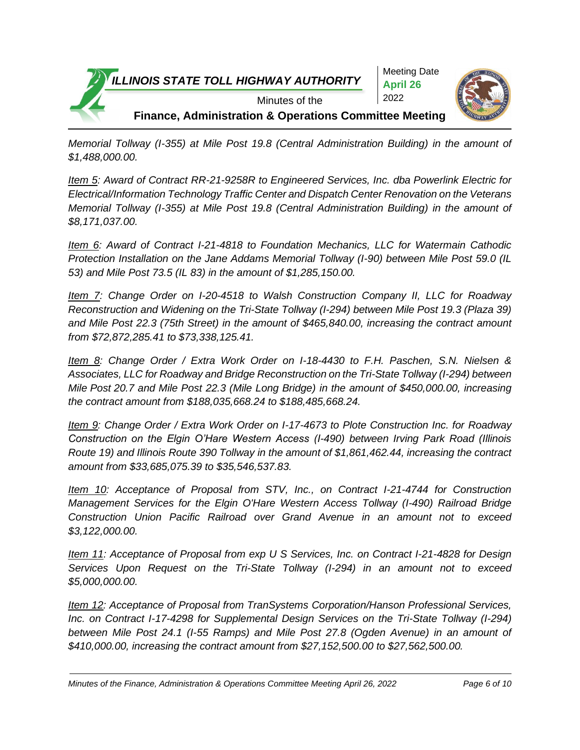

*Memorial Tollway (I-355) at Mile Post 19.8 (Central Administration Building) in the amount of \$1,488,000.00.* 

*Item 5: Award of Contract RR-21-9258R to Engineered Services, Inc. dba Powerlink Electric for Electrical/Information Technology Traffic Center and Dispatch Center Renovation on the Veterans Memorial Tollway (I-355) at Mile Post 19.8 (Central Administration Building) in the amount of \$8,171,037.00.* 

*Item 6: Award of Contract I-21-4818 to Foundation Mechanics, LLC for Watermain Cathodic Protection Installation on the Jane Addams Memorial Tollway (I-90) between Mile Post 59.0 (IL 53) and Mile Post 73.5 (IL 83) in the amount of \$1,285,150.00.*

*Item 7: Change Order on I-20-4518 to Walsh Construction Company II, LLC for Roadway Reconstruction and Widening on the Tri-State Tollway (I-294) between Mile Post 19.3 (Plaza 39) and Mile Post 22.3 (75th Street) in the amount of \$465,840.00, increasing the contract amount from \$72,872,285.41 to \$73,338,125.41.*

*Item 8: Change Order / Extra Work Order on I-18-4430 to F.H. Paschen, S.N. Nielsen & Associates, LLC for Roadway and Bridge Reconstruction on the Tri-State Tollway (I-294) between Mile Post 20.7 and Mile Post 22.3 (Mile Long Bridge) in the amount of \$450,000.00, increasing the contract amount from \$188,035,668.24 to \$188,485,668.24.*

*Item 9: Change Order / Extra Work Order on I-17-4673 to Plote Construction Inc. for Roadway Construction on the Elgin O'Hare Western Access (I-490) between Irving Park Road (Illinois Route 19) and Illinois Route 390 Tollway in the amount of \$1,861,462.44, increasing the contract amount from \$33,685,075.39 to \$35,546,537.83.*

*Item 10: Acceptance of Proposal from STV, Inc., on Contract I-21-4744 for Construction Management Services for the Elgin O'Hare Western Access Tollway (I-490) Railroad Bridge Construction Union Pacific Railroad over Grand Avenue in an amount not to exceed \$3,122,000.00.*

*Item 11: Acceptance of Proposal from exp U S Services, Inc. on Contract I-21-4828 for Design Services Upon Request on the Tri-State Tollway (I-294) in an amount not to exceed \$5,000,000.00.*

*Item 12: Acceptance of Proposal from TranSystems Corporation/Hanson Professional Services, Inc. on Contract I-17-4298 for Supplemental Design Services on the Tri-State Tollway (I-294) between Mile Post 24.1 (I-55 Ramps) and Mile Post 27.8 (Ogden Avenue) in an amount of \$410,000.00, increasing the contract amount from \$27,152,500.00 to \$27,562,500.00.*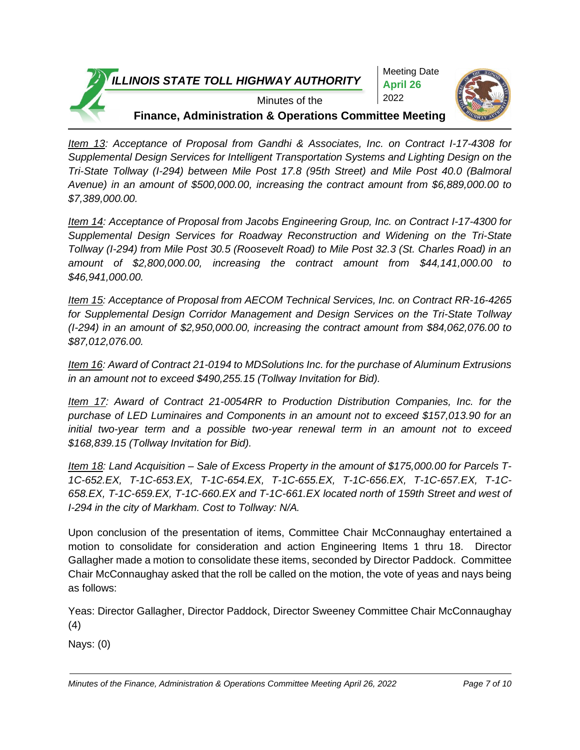

*Item 13: Acceptance of Proposal from Gandhi & Associates, Inc. on Contract I-17-4308 for Supplemental Design Services for Intelligent Transportation Systems and Lighting Design on the Tri-State Tollway (I-294) between Mile Post 17.8 (95th Street) and Mile Post 40.0 (Balmoral Avenue) in an amount of \$500,000.00, increasing the contract amount from \$6,889,000.00 to \$7,389,000.00.*

*Item 14: Acceptance of Proposal from Jacobs Engineering Group, Inc. on Contract I-17-4300 for Supplemental Design Services for Roadway Reconstruction and Widening on the Tri-State Tollway (I-294) from Mile Post 30.5 (Roosevelt Road) to Mile Post 32.3 (St. Charles Road) in an amount of \$2,800,000.00, increasing the contract amount from \$44,141,000.00 to \$46,941,000.00.*

*Item 15: Acceptance of Proposal from AECOM Technical Services, Inc. on Contract RR-16-4265 for Supplemental Design Corridor Management and Design Services on the Tri-State Tollway (I-294) in an amount of \$2,950,000.00, increasing the contract amount from \$84,062,076.00 to \$87,012,076.00.*

*Item 16: Award of Contract 21-0194 to MDSolutions Inc. for the purchase of Aluminum Extrusions in an amount not to exceed \$490,255.15 (Tollway Invitation for Bid).*

*Item 17: Award of Contract 21-0054RR to Production Distribution Companies, Inc. for the purchase of LED Luminaires and Components in an amount not to exceed \$157,013.90 for an initial two-year term and a possible two-year renewal term in an amount not to exceed \$168,839.15 (Tollway Invitation for Bid).*

*Item 18: Land Acquisition – Sale of Excess Property in the amount of \$175,000.00 for Parcels T-1C-652.EX, T-1C-653.EX, T-1C-654.EX, T-1C-655.EX, T-1C-656.EX, T-1C-657.EX, T-1C-658.EX, T-1C-659.EX, T-1C-660.EX and T-1C-661.EX located north of 159th Street and west of I-294 in the city of Markham. Cost to Tollway: N/A.* 

Upon conclusion of the presentation of items, Committee Chair McConnaughay entertained a motion to consolidate for consideration and action Engineering Items 1 thru 18. Director Gallagher made a motion to consolidate these items, seconded by Director Paddock. Committee Chair McConnaughay asked that the roll be called on the motion, the vote of yeas and nays being as follows:

Yeas: Director Gallagher, Director Paddock, Director Sweeney Committee Chair McConnaughay (4)

Nays: (0)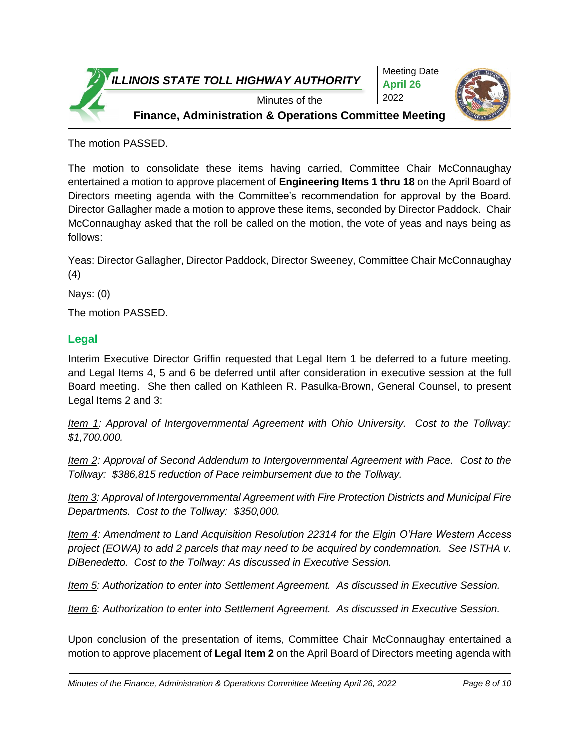

The motion PASSED.

The motion to consolidate these items having carried, Committee Chair McConnaughay entertained a motion to approve placement of **Engineering Items 1 thru 18** on the April Board of Directors meeting agenda with the Committee's recommendation for approval by the Board. Director Gallagher made a motion to approve these items, seconded by Director Paddock. Chair McConnaughay asked that the roll be called on the motion, the vote of yeas and nays being as follows:

Yeas: Director Gallagher, Director Paddock, Director Sweeney, Committee Chair McConnaughay (4)

Nays: (0)

The motion PASSED.

### **Legal**

Interim Executive Director Griffin requested that Legal Item 1 be deferred to a future meeting. and Legal Items 4, 5 and 6 be deferred until after consideration in executive session at the full Board meeting. She then called on Kathleen R. Pasulka-Brown, General Counsel, to present Legal Items 2 and 3:

*Item 1: Approval of Intergovernmental Agreement with Ohio University. Cost to the Tollway: \$1,700.000.*

*Item 2: Approval of Second Addendum to Intergovernmental Agreement with Pace. Cost to the Tollway: \$386,815 reduction of Pace reimbursement due to the Tollway.*

*Item 3: Approval of Intergovernmental Agreement with Fire Protection Districts and Municipal Fire Departments. Cost to the Tollway: \$350,000.*

*Item 4: Amendment to Land Acquisition Resolution 22314 for the Elgin O'Hare Western Access project (EOWA) to add 2 parcels that may need to be acquired by condemnation. See ISTHA v. DiBenedetto. Cost to the Tollway: As discussed in Executive Session.*

*Item 5: Authorization to enter into Settlement Agreement. As discussed in Executive Session.*

*Item 6: Authorization to enter into Settlement Agreement. As discussed in Executive Session.*

Upon conclusion of the presentation of items, Committee Chair McConnaughay entertained a motion to approve placement of **Legal Item 2** on the April Board of Directors meeting agenda with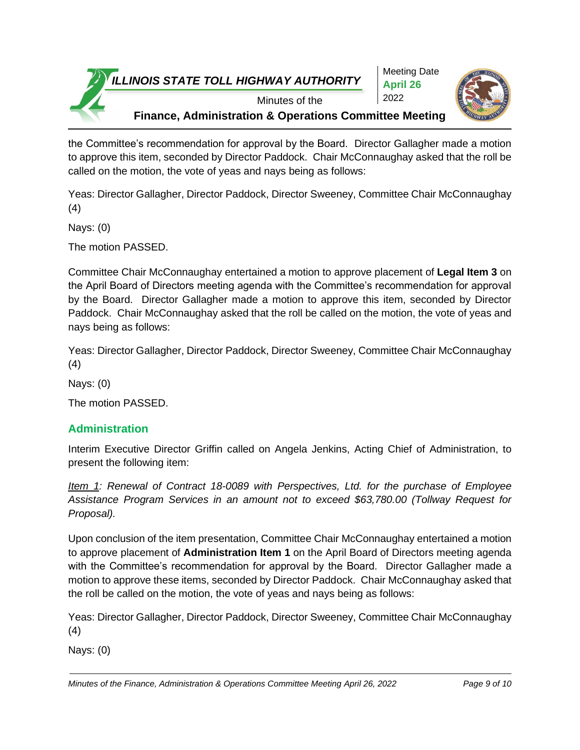

Meeting Date **April 26** 2022



Minutes of the

**Finance, Administration & Operations Committee Meeting**

the Committee's recommendation for approval by the Board. Director Gallagher made a motion to approve this item, seconded by Director Paddock. Chair McConnaughay asked that the roll be called on the motion, the vote of yeas and nays being as follows:

Yeas: Director Gallagher, Director Paddock, Director Sweeney, Committee Chair McConnaughay (4)

Nays: (0)

The motion PASSED.

Committee Chair McConnaughay entertained a motion to approve placement of **Legal Item 3** on the April Board of Directors meeting agenda with the Committee's recommendation for approval by the Board. Director Gallagher made a motion to approve this item, seconded by Director Paddock. Chair McConnaughay asked that the roll be called on the motion, the vote of yeas and nays being as follows:

Yeas: Director Gallagher, Director Paddock, Director Sweeney, Committee Chair McConnaughay (4)

Nays: (0)

The motion PASSED.

# **Administration**

Interim Executive Director Griffin called on Angela Jenkins, Acting Chief of Administration, to present the following item:

*Item 1: Renewal of Contract 18-0089 with Perspectives, Ltd. for the purchase of Employee Assistance Program Services in an amount not to exceed \$63,780.00 (Tollway Request for Proposal).*

Upon conclusion of the item presentation, Committee Chair McConnaughay entertained a motion to approve placement of **Administration Item 1** on the April Board of Directors meeting agenda with the Committee's recommendation for approval by the Board. Director Gallagher made a motion to approve these items, seconded by Director Paddock. Chair McConnaughay asked that the roll be called on the motion, the vote of yeas and nays being as follows:

Yeas: Director Gallagher, Director Paddock, Director Sweeney, Committee Chair McConnaughay (4)

Nays: (0)

*Minutes of the Finance, Administration & Operations Committee Meeting April 26, 2022 Page 9 of 10*